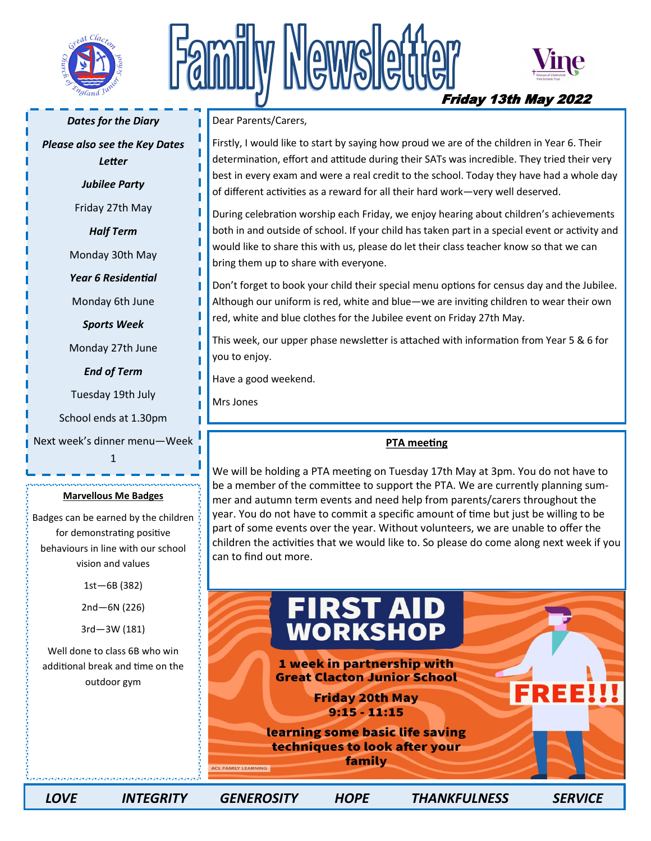

## Newslet Friday 13th May 2022



*Dates for the Diary* 

*Please also see the Key Dates Letter*

*Jubilee Party* 

Friday 27th May

*Half Term* 

Monday 30th May

*Year 6 Residential* 

Monday 6th June

*Sports Week* 

Monday 27th June

*End of Term* 

Tuesday 19th July

School ends at 1.30pm

Next week's dinner menu—Week 1

#### **Marvellous Me Badges**

Badges can be earned by the children for demonstrating positive behaviours in line with our school vision and values

1st—6B (382)

2nd—6N (226)

3rd—3W (181)

Well done to class 6B who win additional break and time on the outdoor gym

Dear Parents/Carers,

Firstly, I would like to start by saying how proud we are of the children in Year 6. Their determination, effort and attitude during their SATs was incredible. They tried their very best in every exam and were a real credit to the school. Today they have had a whole day of different activities as a reward for all their hard work—very well deserved.

During celebration worship each Friday, we enjoy hearing about children's achievements both in and outside of school. If your child has taken part in a special event or activity and would like to share this with us, please do let their class teacher know so that we can bring them up to share with everyone.

Don't forget to book your child their special menu options for census day and the Jubilee. Although our uniform is red, white and blue—we are inviting children to wear their own red, white and blue clothes for the Jubilee event on Friday 27th May.

This week, our upper phase newsletter is attached with information from Year 5 & 6 for you to enjoy.

Have a good weekend.

Mrs Jones

### **PTA meeting**

We will be holding a PTA meeting on Tuesday 17th May at 3pm. You do not have to be a member of the committee to support the PTA. We are currently planning summer and autumn term events and need help from parents/carers throughout the year. You do not have to commit a specific amount of time but just be willing to be part of some events over the year. Without volunteers, we are unable to offer the children the activities that we would like to. So please do come along next week if you can to find out more.

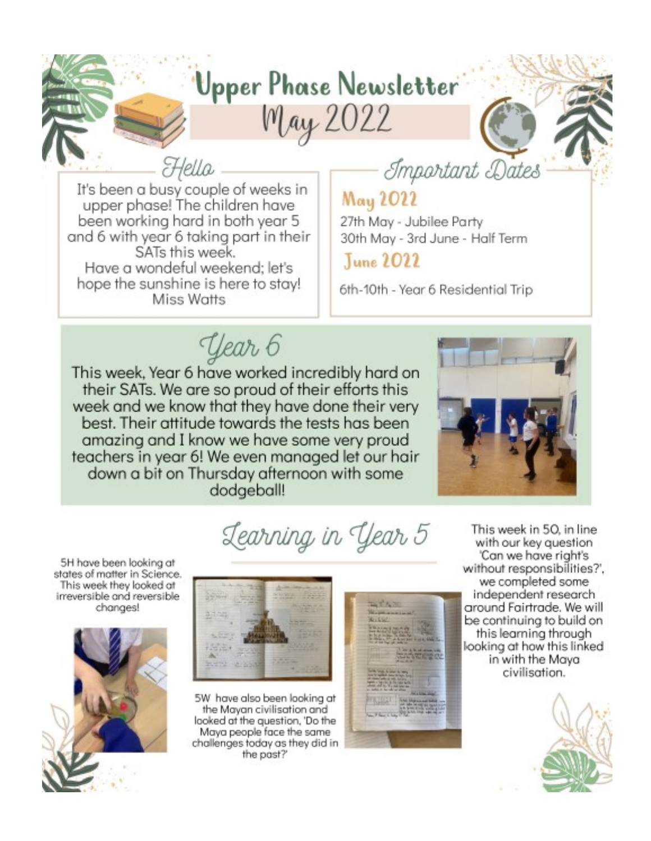## Upper Phase Newsletter

May 2022

Hella It's been a busy couple of weeks in upper phase! The children have been working hard in both year 5 and 6 with year 6 taking part in their SATs this week. Have a wondeful weekend: let's hope the sunshine is here to stay! Miss Watts

## Important Dates

## May 2022

27th May - Jubilee Party 30th May - 3rd June - Half Term

June 2022

6th-10th - Year 6 Residential Trip

Year 6

This week, Year 6 have worked incredibly hard on their SATs. We are so proud of their efforts this week and we know that they have done their very best. Their attitude towards the tests has been amazing and I know we have some very proud teachers in year 6! We even managed let our hair down a bit on Thursday afternoon with some dodgeball!



5H have been looking at states of matter in Science. This week they looked at irreversible and reversible changes!



Learning in Year 5



5W have also been looking at the Mayan civilisation and looked at the question, 'Do the Maya people face the same challenges today as they did in the past?



This week in 50, in line. with our key question 'Can we have right's without responsibilities?', we completed some independent research around Fairtrade. We will be continuing to build on this learning through looking at how this linked in with the Maya civilisation.